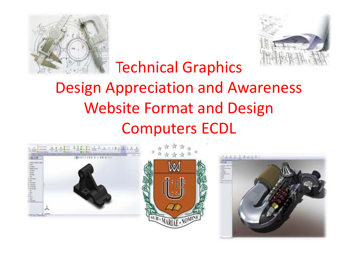



# Technical GraphicsDesign Appreciation and AwarenessWebsite Format and DesignComputers ECDL

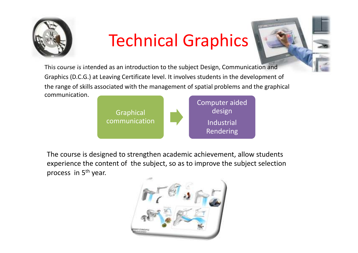

# Technical Graphics



This course is intended as an introduction to the subject Design, Communication andGraphics (D.C.G.) at Leaving Certificate level. It involves students in the development ofthe range of skills associated with the management of spatial problems and the graphical communication.



The course is designed to strengthen academic achievement, allow studentsexperience the content of the subject, so as to improve the subject selection process in 5<sup>th</sup> year.

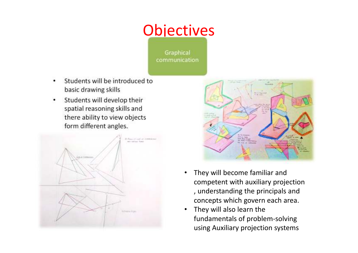### **Objectives**

Graphical communication

- • Students will be introduced to basic drawing skills
- • Students will develop their spatial reasoning skills and there ability to view objects form different angles.





- • They will become familiar and competent with auxiliary projection , understanding the principals and concepts which govern each area.
- • They will also learn the fundamentals of problem-solving using Auxiliary projection systems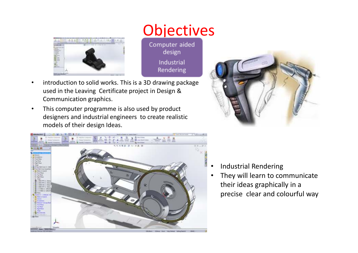

**Objectives** 

Computer aided design Industrial Rendering

- • introduction to solid works. This is a 3D drawing package used in the Leaving Certificate project in Design & Communication graphics.
- • This computer programme is also used by product designers and industrial engineers to create realistic models of their design Ideas.





- •Industrial Rendering
- They will learn to communicate •their ideas graphically in a precise clear and colourful way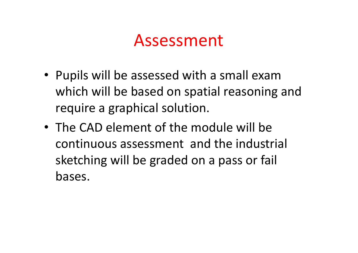## Assessment

- Pupils will be assessed with a small exam which will be based on spatial reasoning and require a graphical solution.
- The CAD element of the module will be continuous assessment and the industrial sketching will be graded on a pass or fail bases.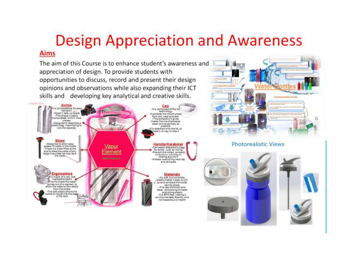# Design Appreciation and Awareness

#### **Aims**

The aim of this Course is to enhance student's awareness and appreciation of design. To provide students with opportunities to discuss, record and present their design opinions and observations while also expanding their ICT skills and developing key analytical and creative skills.



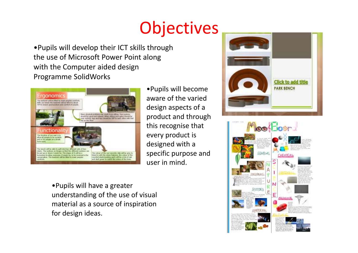# **Objectives**

•Pupils will develop their ICT skills through the use of Microsoft Power Point along with the Computer aided design Programme SolidWorks



•Pupils will become aware of the varied design aspects of a product and through this recognise that every product is designed with a specific purpose and user in mind.

•Pupils will have a greater understanding of the use of visual material as a source of inspiration for design ideas.



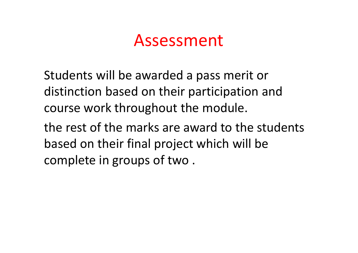## Assessment

Students will be awarded a pass merit or distinction based on their participation and course work throughout the module.

the rest of the marks are award to the students based on their final project which will be complete in groups of two .